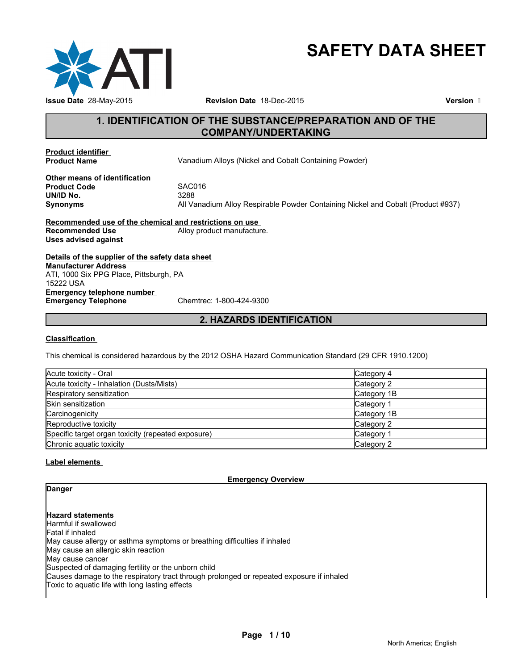

# **SAFETY DATA SHEET**

**Revision Date** 18-Dec-2015

**Version** 

# **1. IDENTIFICATION OF THE SUBSTANCE/PREPARATION AND OF THE COMPANY/UNDERTAKING**

**Product identifier** 

**Vanadium Alloys (Nickel and Cobalt Containing Powder)** 

**Other means of identification**<br>**Product Code** SAC016 **Product Code** SACONS<br> **SACONS**<br>
SACONS **UN/ID No.**<br>Synonyms

**Synonyms** All Vanadium Alloy Respirable Powder Containing Nickel and Cobalt (Product #937)

**Recommended use of the chemical and restrictions on use**  Alloy product manufacture. **Uses advised against**

**Details of the supplier of the safety data sheet Emergency telephone number<br>
Emergency Telephone** Chemtrec: 1-800-424-9300 **Emergency Telephone Manufacturer Address** ATI, 1000 Six PPG Place, Pittsburgh, PA 15222 USA

# **2. HAZARDS IDENTIFICATION**

#### **Classification**

This chemical is considered hazardous by the 2012 OSHA Hazard Communication Standard (29 CFR 1910.1200)

| Acute toxicity - Oral                              | Category 4  |
|----------------------------------------------------|-------------|
| Acute toxicity - Inhalation (Dusts/Mists)          | Category 2  |
| Respiratory sensitization                          | Category 1B |
| Skin sensitization                                 | Category 1  |
| Carcinogenicity                                    | Category 1B |
| Reproductive toxicity                              | Category 2  |
| Specific target organ toxicity (repeated exposure) | Category 1  |
| Chronic aquatic toxicity                           | Category 2  |

#### **Label elements**

**Emergency Overview**

# **Danger**

**Hazard statements** Harmful if swallowed Fatal if inhaled May cause allergy or asthma symptoms or breathing difficulties if inhaled May cause an allergic skin reaction May cause cancer Suspected of damaging fertility or the unborn child Causes damage to the respiratory tract through prolonged or repeated exposure if inhaled Toxic to aquatic life with long lasting effects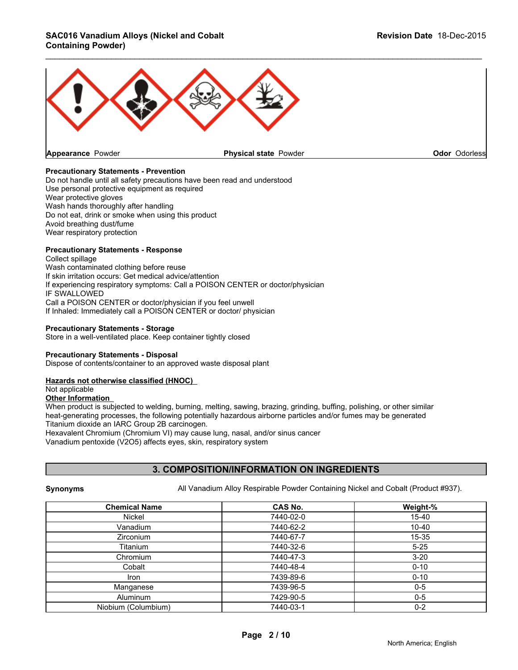#### **SAC016 Vanadium Alloys (Nickel and Cobalt Revision Date** 18-Dec-2015 **Containing Powder)**



#### **Precautionary Statements - Prevention**

Do not handle until all safety precautions have been read and understood Use personal protective equipment as required Wear protective gloves Wash hands thoroughly after handling Do not eat, drink or smoke when using this product Avoid breathing dust/fume Wear respiratory protection

#### **Precautionary Statements - Response**

Collect spillage Wash contaminated clothing before reuse If skin irritation occurs: Get medical advice/attention If experiencing respiratory symptoms: Call a POISON CENTER or doctor/physician IF SWALLOWED Call a POISON CENTER or doctor/physician if you feel unwell If Inhaled: Immediately call a POISON CENTER or doctor/ physician

#### **Precautionary Statements - Storage**

Store in a well-ventilated place. Keep container tightly closed

#### **Precautionary Statements - Disposal**

Dispose of contents/container to an approved waste disposal plant

#### **Hazards not otherwise classified (HNOC)**

Not applicable

#### **Other Information**

When product is subjected to welding, burning, melting, sawing, brazing, grinding, buffing, polishing, or other similar heat-generating processes, the following potentially hazardous airborne particles and/or fumes may be generated Titanium dioxide an IARC Group 2B carcinogen.

Hexavalent Chromium (Chromium VI) may cause lung, nasal, and/or sinus cancer Vanadium pentoxide (V2O5) affects eyes, skin, respiratory system

#### **3. COMPOSITION/INFORMATION ON INGREDIENTS**

**Synonyms** All Vanadium Alloy Respirable Powder Containing Nickel and Cobalt (Product #937).

| <b>Chemical Name</b> | <b>CAS No.</b> | Weight-%  |
|----------------------|----------------|-----------|
| Nickel               | 7440-02-0      | $15 - 40$ |
| Vanadium             | 7440-62-2      | $10 - 40$ |
| Zirconium            | 7440-67-7      | 15-35     |
| Titanium             | 7440-32-6      | $5 - 25$  |
| Chromium             | 7440-47-3      | $3 - 20$  |
| Cobalt               | 7440-48-4      | $0 - 10$  |
| Iron                 | 7439-89-6      | $0 - 10$  |
| Manganese            | 7439-96-5      | $0-5$     |
| Aluminum             | 7429-90-5      | $0-5$     |
| Niobium (Columbium)  | 7440-03-1      | $0 - 2$   |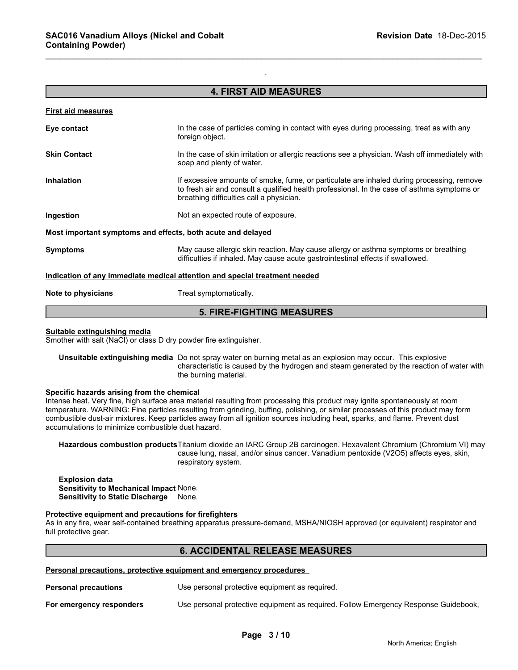#### **4. FIRST AID MEASURES**

.

\_\_\_\_\_\_\_\_\_\_\_\_\_\_\_\_\_\_\_\_\_\_\_\_\_\_\_\_\_\_\_\_\_\_\_\_\_\_\_\_\_\_\_\_\_\_\_\_\_\_\_\_\_\_\_\_\_\_\_\_\_\_\_\_\_\_\_\_\_\_\_\_\_\_\_\_\_\_\_\_\_\_\_\_\_\_\_\_\_\_\_\_\_

| <b>First aid measures</b>                                   |                                                                                                                                                                                                                                      |
|-------------------------------------------------------------|--------------------------------------------------------------------------------------------------------------------------------------------------------------------------------------------------------------------------------------|
| Eye contact                                                 | In the case of particles coming in contact with eyes during processing, treat as with any<br>foreign object.                                                                                                                         |
| <b>Skin Contact</b>                                         | In the case of skin irritation or allergic reactions see a physician. Wash off immediately with<br>soap and plenty of water.                                                                                                         |
| <b>Inhalation</b>                                           | If excessive amounts of smoke, fume, or particulate are inhaled during processing, remove<br>to fresh air and consult a qualified health professional. In the case of asthma symptoms or<br>breathing difficulties call a physician. |
| Ingestion                                                   | Not an expected route of exposure.                                                                                                                                                                                                   |
| Most important symptoms and effects, both acute and delayed |                                                                                                                                                                                                                                      |
| <b>Symptoms</b>                                             | May cause allergic skin reaction. May cause allergy or asthma symptoms or breathing<br>difficulties if inhaled. May cause acute gastrointestinal effects if swallowed.                                                               |
|                                                             | Indication of any immediate medical attention and special treatment needed                                                                                                                                                           |
| Note to physicians                                          | Treat symptomatically.                                                                                                                                                                                                               |
|                                                             |                                                                                                                                                                                                                                      |

# **5. FIRE-FIGHTING MEASURES**

#### **Suitable extinguishing media**

Smother with salt (NaCl) or class D dry powder fire extinguisher.

**Unsuitable extinguishing media** Do not spray water on burning metal as an explosion may occur. This explosive characteristic is caused by the hydrogen and steam generated by the reaction of water with the burning material.

#### **Specific hazards arising from the chemical**

Intense heat. Very fine, high surface area material resulting from processing this product may ignite spontaneously at room temperature. WARNING: Fine particles resulting from grinding, buffing, polishing, or similar processes of this product may form combustible dust-air mixtures. Keep particles away from all ignition sources including heat, sparks, and flame. Prevent dust accumulations to minimize combustible dust hazard.

**Hazardous combustion products**Titanium dioxide an IARC Group 2B carcinogen. Hexavalent Chromium (Chromium VI) may cause lung, nasal, and/or sinus cancer. Vanadium pentoxide (V2O5) affects eyes, skin, respiratory system.

#### **Explosion data Sensitivity to Mechanical Impact** None. **Sensitivity to Static Discharge** None.

#### **Protective equipment and precautions for firefighters**

As in any fire, wear self-contained breathing apparatus pressure-demand, MSHA/NIOSH approved (or equivalent) respirator and full protective gear.

#### **6. ACCIDENTAL RELEASE MEASURES**

**Personal precautions, protective equipment and emergency procedures** 

**Personal precautions** Use personal protective equipment as required.

**For emergency responders** Use personal protective equipment as required. Follow Emergency Response Guidebook,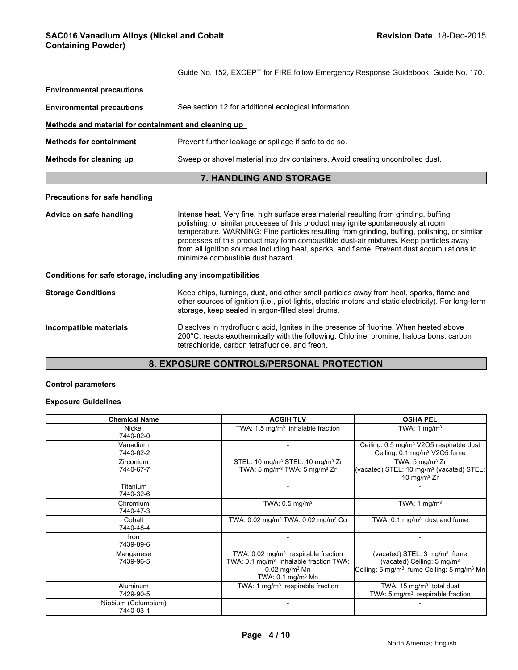|                                                              | Guide No. 152, EXCEPT for FIRE follow Emergency Response Guidebook, Guide No. 170.                                                                                                                                                                                                                                                                                                                                                                                                                    |
|--------------------------------------------------------------|-------------------------------------------------------------------------------------------------------------------------------------------------------------------------------------------------------------------------------------------------------------------------------------------------------------------------------------------------------------------------------------------------------------------------------------------------------------------------------------------------------|
| <b>Environmental precautions</b>                             |                                                                                                                                                                                                                                                                                                                                                                                                                                                                                                       |
| <b>Environmental precautions</b>                             | See section 12 for additional ecological information.                                                                                                                                                                                                                                                                                                                                                                                                                                                 |
| Methods and material for containment and cleaning up         |                                                                                                                                                                                                                                                                                                                                                                                                                                                                                                       |
| <b>Methods for containment</b>                               | Prevent further leakage or spillage if safe to do so.                                                                                                                                                                                                                                                                                                                                                                                                                                                 |
| Methods for cleaning up                                      | Sweep or shovel material into dry containers. Avoid creating uncontrolled dust.                                                                                                                                                                                                                                                                                                                                                                                                                       |
|                                                              | 7. HANDLING AND STORAGE                                                                                                                                                                                                                                                                                                                                                                                                                                                                               |
| <b>Precautions for safe handling</b>                         |                                                                                                                                                                                                                                                                                                                                                                                                                                                                                                       |
| Advice on safe handling                                      | Intense heat. Very fine, high surface area material resulting from grinding, buffing,<br>polishing, or similar processes of this product may ignite spontaneously at room<br>temperature. WARNING: Fine particles resulting from grinding, buffing, polishing, or similar<br>processes of this product may form combustible dust-air mixtures. Keep particles away<br>from all ignition sources including heat, sparks, and flame. Prevent dust accumulations to<br>minimize combustible dust hazard. |
| Conditions for safe storage, including any incompatibilities |                                                                                                                                                                                                                                                                                                                                                                                                                                                                                                       |
| <b>Storage Conditions</b>                                    | Keep chips, turnings, dust, and other small particles away from heat, sparks, flame and<br>other sources of ignition (i.e., pilot lights, electric motors and static electricity). For long-term<br>storage, keep sealed in argon-filled steel drums.                                                                                                                                                                                                                                                 |
| Incompatible materials                                       | Dissolves in hydrofluoric acid, Ignites in the presence of fluorine. When heated above<br>200°C, reacts exothermically with the following. Chlorine, bromine, halocarbons, carbon<br>tetrachloride, carbon tetrafluoride, and freon.                                                                                                                                                                                                                                                                  |

\_\_\_\_\_\_\_\_\_\_\_\_\_\_\_\_\_\_\_\_\_\_\_\_\_\_\_\_\_\_\_\_\_\_\_\_\_\_\_\_\_\_\_\_\_\_\_\_\_\_\_\_\_\_\_\_\_\_\_\_\_\_\_\_\_\_\_\_\_\_\_\_\_\_\_\_\_\_\_\_\_\_\_\_\_\_\_\_\_\_\_\_\_

# **8. EXPOSURE CONTROLS/PERSONAL PROTECTION**

#### **Control parameters**

### **Exposure Guidelines**

| <b>Chemical Name</b>             | <b>ACGIH TLV</b>                                                                                                                                                        | <b>OSHA PEL</b>                                                                                                                                        |
|----------------------------------|-------------------------------------------------------------------------------------------------------------------------------------------------------------------------|--------------------------------------------------------------------------------------------------------------------------------------------------------|
| Nickel<br>7440-02-0              | TWA: $1.5 \text{ mg/m}^3$ inhalable fraction                                                                                                                            | TWA: 1 $mq/m3$                                                                                                                                         |
| Vanadium<br>7440-62-2            |                                                                                                                                                                         | Ceiling: 0.5 mg/m <sup>3</sup> V2O5 respirable dust<br>Ceiling: 0.1 mg/m <sup>3</sup> V2O5 fume                                                        |
| <b>Zirconium</b><br>7440-67-7    | STEL: 10 mg/m <sup>3</sup> STEL: 10 mg/m <sup>3</sup> Zr<br>TWA: 5 mg/m <sup>3</sup> TWA: 5 mg/m <sup>3</sup> Zr                                                        | TWA: $5 \text{ mg/m}^3$ Zr<br>(vacated) STEL: 10 mg/m <sup>3</sup> (vacated) STEL:<br>10 mg/m $3$ Zr                                                   |
| Titanium<br>7440-32-6            |                                                                                                                                                                         |                                                                                                                                                        |
| Chromium<br>7440-47-3            | TWA: $0.5$ mg/m <sup>3</sup>                                                                                                                                            | TWA: 1 mg/m <sup>3</sup>                                                                                                                               |
| Cobalt<br>7440-48-4              | TWA: 0.02 mg/m <sup>3</sup> TWA: 0.02 mg/m <sup>3</sup> Co                                                                                                              | TWA: 0.1 mg/m <sup>3</sup> dust and fume                                                                                                               |
| Iron<br>7439-89-6                |                                                                                                                                                                         |                                                                                                                                                        |
| Manganese<br>7439-96-5           | TWA: $0.02$ mg/m <sup>3</sup> respirable fraction<br>TWA: 0.1 mg/m <sup>3</sup> inhalable fraction TWA:<br>$0.02$ mg/m <sup>3</sup> Mn<br>TWA: 0.1 mg/m <sup>3</sup> Mn | (vacated) STEL: 3 mg/m <sup>3</sup> fume<br>(vacated) Ceiling: $5 \text{ mg/m}^3$<br>Ceiling: 5 mg/m <sup>3</sup> fume Ceiling: 5 mg/m <sup>3</sup> Mn |
| Aluminum<br>7429-90-5            | TWA: 1 $mg/m3$ respirable fraction                                                                                                                                      | TWA: $15 \text{ mg/m}^3$ total dust<br>TWA: 5 $mg/m3$ respirable fraction                                                                              |
| Niobium (Columbium)<br>7440-03-1 |                                                                                                                                                                         |                                                                                                                                                        |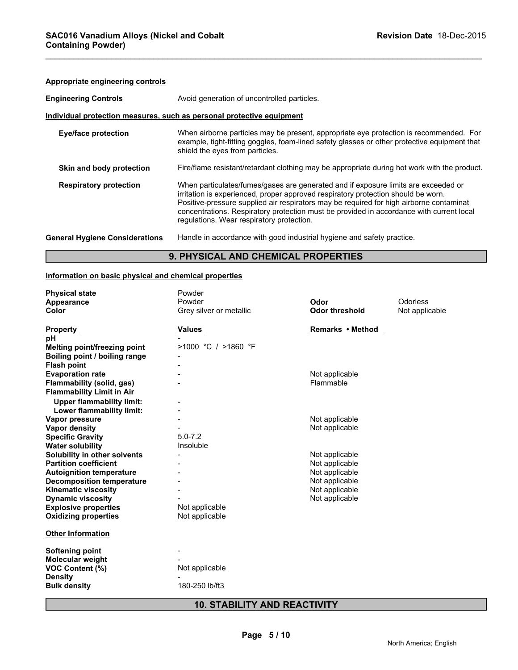### **Appropriate engineering controls**

| <b>Engineering Controls</b>           | Avoid generation of uncontrolled particles.                                                                                                                                                                                                                                                                                                                                                                 |
|---------------------------------------|-------------------------------------------------------------------------------------------------------------------------------------------------------------------------------------------------------------------------------------------------------------------------------------------------------------------------------------------------------------------------------------------------------------|
|                                       | Individual protection measures, such as personal protective equipment                                                                                                                                                                                                                                                                                                                                       |
| <b>Eye/face protection</b>            | When airborne particles may be present, appropriate eye protection is recommended. For<br>example, tight-fitting goggles, foam-lined safety glasses or other protective equipment that<br>shield the eyes from particles.                                                                                                                                                                                   |
| Skin and body protection              | Fire/flame resistant/retardant clothing may be appropriate during hot work with the product.                                                                                                                                                                                                                                                                                                                |
| <b>Respiratory protection</b>         | When particulates/fumes/gases are generated and if exposure limits are exceeded or<br>irritation is experienced, proper approved respiratory protection should be worn.<br>Positive-pressure supplied air respirators may be required for high airborne contaminat<br>concentrations. Respiratory protection must be provided in accordance with current local<br>regulations. Wear respiratory protection. |
| <b>General Hygiene Considerations</b> | Handle in accordance with good industrial hygiene and safety practice.                                                                                                                                                                                                                                                                                                                                      |

\_\_\_\_\_\_\_\_\_\_\_\_\_\_\_\_\_\_\_\_\_\_\_\_\_\_\_\_\_\_\_\_\_\_\_\_\_\_\_\_\_\_\_\_\_\_\_\_\_\_\_\_\_\_\_\_\_\_\_\_\_\_\_\_\_\_\_\_\_\_\_\_\_\_\_\_\_\_\_\_\_\_\_\_\_\_\_\_\_\_\_\_\_

# **9. PHYSICAL AND CHEMICAL PROPERTIES**

#### **Information on basic physical and chemical properties**

| <b>Physical state</b>            | Powder                  |                       |                |
|----------------------------------|-------------------------|-----------------------|----------------|
| Appearance                       | Powder                  | Odor                  | Odorless       |
| Color                            | Grey silver or metallic | <b>Odor threshold</b> | Not applicable |
| <b>Property</b>                  | <b>Values</b>           | Remarks • Method      |                |
| рH                               |                         |                       |                |
| Melting point/freezing point     | $>1000$ °C / $>1860$ °F |                       |                |
| Boiling point / boiling range    |                         |                       |                |
| <b>Flash point</b>               |                         |                       |                |
| <b>Evaporation rate</b>          |                         | Not applicable        |                |
| <b>Flammability (solid, gas)</b> |                         | Flammable             |                |
| <b>Flammability Limit in Air</b> |                         |                       |                |
| <b>Upper flammability limit:</b> |                         |                       |                |
| Lower flammability limit:        |                         |                       |                |
| Vapor pressure                   |                         | Not applicable        |                |
| Vapor density                    |                         | Not applicable        |                |
| <b>Specific Gravity</b>          | $5.0 - 7.2$             |                       |                |
| <b>Water solubility</b>          | Insoluble               |                       |                |
| Solubility in other solvents     |                         | Not applicable        |                |
| <b>Partition coefficient</b>     |                         | Not applicable        |                |
| <b>Autoignition temperature</b>  |                         | Not applicable        |                |
| <b>Decomposition temperature</b> |                         | Not applicable        |                |
| <b>Kinematic viscosity</b>       |                         | Not applicable        |                |
| <b>Dynamic viscosity</b>         |                         | Not applicable        |                |
| <b>Explosive properties</b>      | Not applicable          |                       |                |
| <b>Oxidizing properties</b>      | Not applicable          |                       |                |
| <b>Other Information</b>         |                         |                       |                |
| <b>Softening point</b>           |                         |                       |                |
| <b>Molecular weight</b>          |                         |                       |                |
| VOC Content (%)                  | Not applicable          |                       |                |
| <b>Density</b>                   |                         |                       |                |
| <b>Bulk density</b>              | 180-250 lb/ft3          |                       |                |

# **10. STABILITY AND REACTIVITY**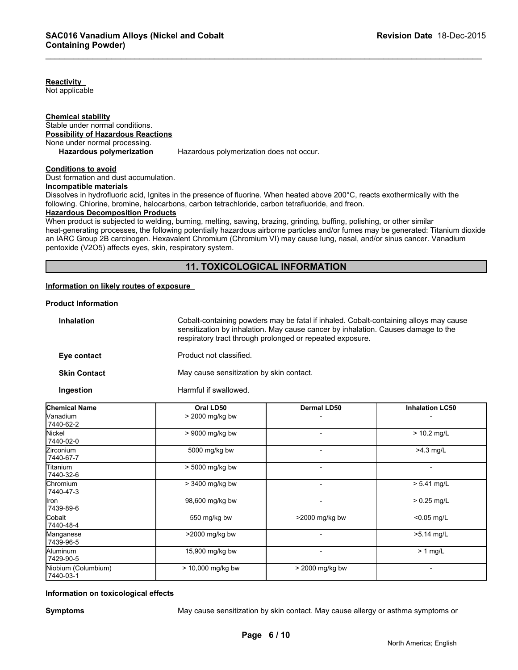**Reactivity**  Not applicable

**Chemical stability** Stable under normal conditions. **Possibility of Hazardous Reactions** None under normal processing.<br>Hazardous polymerization

Hazardous polymerization does not occur.

#### **Conditions to avoid**

Dust formation and dust accumulation.

#### **Incompatible materials**

Dissolves in hydrofluoric acid, Ignites in the presence of fluorine. When heated above 200°C, reacts exothermically with the following. Chlorine, bromine, halocarbons, carbon tetrachloride, carbon tetrafluoride, and freon.

#### **Hazardous Decomposition Products**

When product is subjected to welding, burning, melting, sawing, brazing, grinding, buffing, polishing, or other similar heat-generating processes, the following potentially hazardous airborne particles and/or fumes may be generated: Titanium dioxide an IARC Group 2B carcinogen. Hexavalent Chromium (Chromium VI) may cause lung, nasal, and/or sinus cancer. Vanadium pentoxide (V2O5) affects eyes, skin, respiratory system.

\_\_\_\_\_\_\_\_\_\_\_\_\_\_\_\_\_\_\_\_\_\_\_\_\_\_\_\_\_\_\_\_\_\_\_\_\_\_\_\_\_\_\_\_\_\_\_\_\_\_\_\_\_\_\_\_\_\_\_\_\_\_\_\_\_\_\_\_\_\_\_\_\_\_\_\_\_\_\_\_\_\_\_\_\_\_\_\_\_\_\_\_\_

#### **11. TOXICOLOGICAL INFORMATION**

#### **Information on likely routes of exposure**

#### **Product Information**

| <b>Inhalation</b>   | Cobalt-containing powders may be fatal if inhaled. Cobalt-containing alloys may cause<br>sensitization by inhalation. May cause cancer by inhalation. Causes damage to the<br>respiratory tract through prolonged or repeated exposure. |
|---------------------|-----------------------------------------------------------------------------------------------------------------------------------------------------------------------------------------------------------------------------------------|
| Eye contact         | Product not classified.                                                                                                                                                                                                                 |
| <b>Skin Contact</b> | May cause sensitization by skin contact.                                                                                                                                                                                                |
| <b>Ingestion</b>    | Harmful if swallowed.                                                                                                                                                                                                                   |

| <b>Chemical Name</b>             | Oral LD50           | <b>Dermal LD50</b>       | <b>Inhalation LC50</b> |
|----------------------------------|---------------------|--------------------------|------------------------|
| Vanadium<br>7440-62-2            | > 2000 mg/kg bw     |                          |                        |
| Nickel<br>7440-02-0              | > 9000 mg/kg bw     | $\overline{\phantom{a}}$ | $> 10.2$ mg/L          |
| Zirconium<br>7440-67-7           | 5000 mg/kg bw       |                          | $>4.3$ mg/L            |
| Titanium<br>7440-32-6            | > 5000 mg/kg bw     | $\overline{\phantom{0}}$ |                        |
| Chromium<br>7440-47-3            | > 3400 mg/kg bw     | $\overline{\phantom{a}}$ | $> 5.41$ mg/L          |
| llron<br>7439-89-6               | 98,600 mg/kg bw     |                          | $> 0.25$ mg/L          |
| Cobalt<br>7440-48-4              | 550 mg/kg bw        | $>$ 2000 mg/kg bw        | $< 0.05$ mg/L          |
| Manganese<br>7439-96-5           | >2000 mg/kg bw      |                          | $>5.14$ mg/L           |
| Aluminum<br>7429-90-5            | 15,900 mg/kg bw     | $\overline{\phantom{a}}$ | $> 1$ mg/L             |
| Niobium (Columbium)<br>7440-03-1 | $> 10,000$ mg/kg bw | > 2000 mg/kg bw          |                        |

#### **Information on toxicological effects**

**Symptoms** May cause sensitization by skin contact. May cause allergy or asthma symptoms or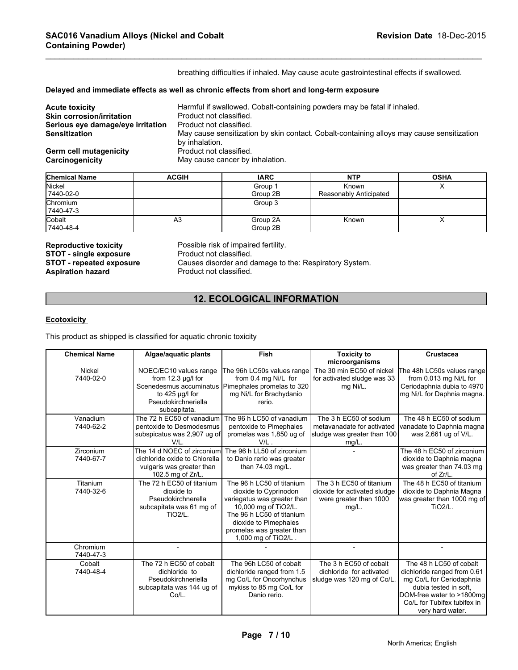breathing difficulties if inhaled. May cause acute gastrointestinal effects if swallowed.

\_\_\_\_\_\_\_\_\_\_\_\_\_\_\_\_\_\_\_\_\_\_\_\_\_\_\_\_\_\_\_\_\_\_\_\_\_\_\_\_\_\_\_\_\_\_\_\_\_\_\_\_\_\_\_\_\_\_\_\_\_\_\_\_\_\_\_\_\_\_\_\_\_\_\_\_\_\_\_\_\_\_\_\_\_\_\_\_\_\_\_\_\_

#### **Delayed and immediate effects as well as chronic effects from short and long-term exposure**

| <b>Acute toxicity</b>             | Harmful if swallowed. Cobalt-containing powders may be fatal if inhaled.                  |
|-----------------------------------|-------------------------------------------------------------------------------------------|
| <b>Skin corrosion/irritation</b>  | Product not classified.                                                                   |
| Serious eye damage/eye irritation | Product not classified.                                                                   |
| <b>Sensitization</b>              | May cause sensitization by skin contact. Cobalt-containing alloys may cause sensitization |
|                                   | by inhalation.                                                                            |
| <b>Germ cell mutagenicity</b>     | Product not classified.                                                                   |
| Carcinogenicity                   | May cause cancer by inhalation.                                                           |

| <b>Chemical Name</b>  | <b>ACGIH</b> | <b>IARC</b>          | <b>NTP</b>                      | <b>OSHA</b> |
|-----------------------|--------------|----------------------|---------------------------------|-------------|
| Nickel<br>7440-02-0   |              | Group 1<br>Group 2B  | Known<br>Reasonably Anticipated | $\lambda$   |
| Chromium<br>7440-47-3 |              | Group 3              |                                 |             |
| Cobalt<br>7440-48-4   | A3           | Group 2A<br>Group 2B | Known                           | ↗           |

**STOT - single exposure<br>STOT - repeated exposure** 

**Reproductive toxicity Possible risk of impaired fertility.**<br>**STOT - single exposure Product not classified. STOT - repeated exposure** Causes disorder and damage to the: Respiratory System.<br>**Aspiration hazard** Product not classified. Product not classified.

# **12. ECOLOGICAL INFORMATION**

#### **Ecotoxicity**

| Causes disorder and damage to the: Respiratory System.<br><b>STOT - repeated exposure</b><br>Product not classified.<br><b>Aspiration hazard</b> |                                                                                                                                        |                                                                                                                                                                                                                     |                                                                                                 |                                                                                                                                                                                             |  |
|--------------------------------------------------------------------------------------------------------------------------------------------------|----------------------------------------------------------------------------------------------------------------------------------------|---------------------------------------------------------------------------------------------------------------------------------------------------------------------------------------------------------------------|-------------------------------------------------------------------------------------------------|---------------------------------------------------------------------------------------------------------------------------------------------------------------------------------------------|--|
| <b>12. ECOLOGICAL INFORMATION</b>                                                                                                                |                                                                                                                                        |                                                                                                                                                                                                                     |                                                                                                 |                                                                                                                                                                                             |  |
| <b>Ecotoxicity</b><br>This product as shipped is classified for aquatic chronic toxicity                                                         |                                                                                                                                        |                                                                                                                                                                                                                     |                                                                                                 |                                                                                                                                                                                             |  |
| <b>Chemical Name</b>                                                                                                                             | Algae/aquatic plants                                                                                                                   | <b>Fish</b>                                                                                                                                                                                                         | <b>Toxicity to</b><br>microorganisms                                                            | Crustacea                                                                                                                                                                                   |  |
| Nickel<br>7440-02-0                                                                                                                              | NOEC/EC10 values range<br>from $12.3 \mu g/l$ for<br>Scenedesmus accuminatus<br>to 425 µg/l for<br>Pseudokirchneriella<br>subcapitata. | The 96h LC50s values range<br>from 0.4 mg Ni/L for<br>Pimephales promelas to 320<br>mg Ni/L for Brachydanio<br>rerio.                                                                                               | The 30 min EC50 of nickel<br>for activated sludge was 33<br>mg Ni/L.                            | The 48h LC50s values range<br>from 0.013 mg Ni/L for<br>Ceriodaphnia dubia to 4970<br>mg Ni/L for Daphnia magna.                                                                            |  |
| Vanadium<br>7440-62-2                                                                                                                            | The 72 h EC50 of vanadium<br>pentoxide to Desmodesmus<br>subspicatus was 2,907 ug of<br>V/L.                                           | The 96 h LC50 of vanadium<br>pentoxide to Pimephales<br>promelas was 1,850 ug of<br>$V/L$ .                                                                                                                         | The 3 h EC50 of sodium<br>metavanadate for activated<br>sludge was greater than 100<br>$mg/L$ . | The 48 h EC50 of sodium<br>vanadate to Daphnia magna<br>was 2,661 ug of V/L.                                                                                                                |  |
| Zirconium<br>7440-67-7                                                                                                                           | The 14 d NOEC of zirconium<br>dichloride oxide to Chlorella<br>vulgaris was greater than<br>102.5 mg of Zr/L.                          | The 96 h LL50 of zirconium<br>to Danio rerio was greater<br>than 74.03 mg/L.                                                                                                                                        |                                                                                                 | The 48 h EC50 of zirconium<br>dioxide to Daphnia magna<br>was greater than 74.03 mg<br>of Zr/L.                                                                                             |  |
| Titanium<br>7440-32-6                                                                                                                            | The 72 h EC50 of titanium<br>dioxide to<br>Pseudokirchnerella<br>subcapitata was 61 mg of<br><b>TiO2/L.</b>                            | The 96 h LC50 of titanium<br>dioxide to Cyprinodon<br>variegatus was greater than<br>10,000 mg of TiO2/L.<br>The 96 h LC50 of titanium<br>dioxide to Pimephales<br>promelas was greater than<br>1,000 mg of TiO2/L. | The 3 h EC50 of titanium<br>dioxide for activated sludge<br>were greater than 1000<br>$mg/L$ .  | The 48 h EC50 of titanium<br>dioxide to Daphnia Magna<br>was greater than 1000 mg of<br>TiO <sub>2</sub> /L.                                                                                |  |
| Chromium<br>7440-47-3                                                                                                                            | $\overline{a}$                                                                                                                         |                                                                                                                                                                                                                     | $\overline{\phantom{a}}$                                                                        | $\overline{\phantom{a}}$                                                                                                                                                                    |  |
| Cobalt<br>7440-48-4                                                                                                                              | The 72 h EC50 of cobalt<br>dichloride to<br>Pseudokirchneriella<br>subcapitata was 144 ug of<br>Co/L.                                  | The 96h LC50 of cobalt<br>dichloride ranged from 1.5<br>mg Co/L for Oncorhynchus<br>mykiss to 85 mg Co/L for<br>Danio rerio.                                                                                        | The 3 h EC50 of cobalt<br>dichloride for activated<br>sludge was 120 mg of Co/L.                | The 48 h LC50 of cobalt<br>dichloride ranged from 0.61<br>mg Co/L for Ceriodaphnia<br>dubia tested in soft.<br>DOM-free water to >1800mg<br>Co/L for Tubifex tubifex in<br>very hard water. |  |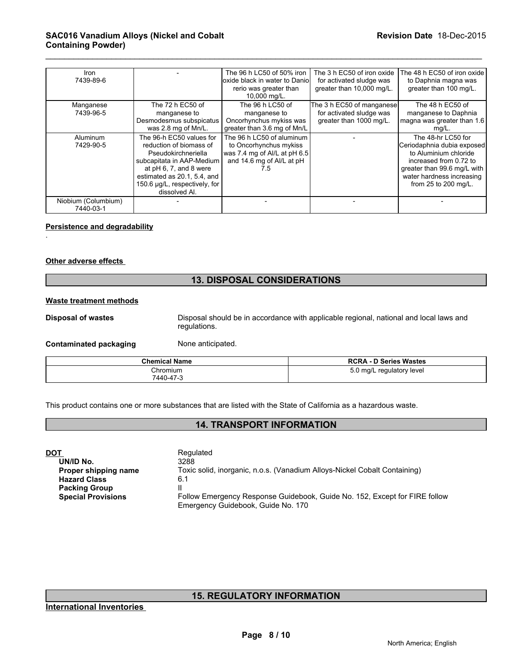| Iron<br>7439-89-6                |                                                                                                                                                                                                                    | The 96 h LC50 of 50% iron<br>loxide black in water to Daniol<br>rerio was greater than<br>10,000 mg/L.                  | The 3 h EC50 of iron oxide<br>for activated sludge was<br>greater than 10,000 mg/L. | The 48 h EC50 of iron oxide<br>to Daphnia magna was<br>greater than 100 mg/L.                                                                                                           |
|----------------------------------|--------------------------------------------------------------------------------------------------------------------------------------------------------------------------------------------------------------------|-------------------------------------------------------------------------------------------------------------------------|-------------------------------------------------------------------------------------|-----------------------------------------------------------------------------------------------------------------------------------------------------------------------------------------|
| Manganese<br>7439-96-5           | The 72 h EC50 of<br>manganese to<br>Desmodesmus subspicatus<br>was 2.8 mg of Mn/L.                                                                                                                                 | The 96 h LC50 of<br>manganese to<br>Oncorhynchus mykiss was<br>greater than 3.6 mg of Mn/L                              | The 3 h EC50 of manganese<br>for activated sludge was<br>greater than 1000 mg/L.    | The 48 h EC50 of<br>manganese to Daphnia<br>magna was greater than 1.6<br>mg/L.                                                                                                         |
| Aluminum<br>7429-90-5            | The 96-h EC50 values for<br>reduction of biomass of<br>Pseudokirchneriella<br>subcapitata in AAP-Medium<br>at pH 6, 7, and 8 were<br>estimated as 20.1, 5.4, and<br>150.6 µg/L, respectively, for<br>dissolved Al. | The 96 h LC50 of aluminum<br>to Oncorhynchus mykiss<br>was 7.4 mg of Al/L at pH 6.5<br>and 14.6 mg of AI/L at pH<br>7.5 |                                                                                     | The 48-hr LC50 for<br>Ceriodaphnia dubia exposed<br>to Aluminium chloride<br>increased from 0.72 to<br>greater than 99.6 mg/L with<br>water hardness increasing<br>from 25 to 200 mg/L. |
| Niobium (Columbium)<br>7440-03-1 |                                                                                                                                                                                                                    |                                                                                                                         |                                                                                     |                                                                                                                                                                                         |

\_\_\_\_\_\_\_\_\_\_\_\_\_\_\_\_\_\_\_\_\_\_\_\_\_\_\_\_\_\_\_\_\_\_\_\_\_\_\_\_\_\_\_\_\_\_\_\_\_\_\_\_\_\_\_\_\_\_\_\_\_\_\_\_\_\_\_\_\_\_\_\_\_\_\_\_\_\_\_\_\_\_\_\_\_\_\_\_\_\_\_\_\_

#### **Persistence and degradability**

#### **Other adverse effects**

.

#### **13. DISPOSAL CONSIDERATIONS**

#### **Waste treatment methods**

**Disposal of wastes** Disposal should be in accordance with applicable regional, national and local laws and regulations.

**Contaminated packaging Mone anticipated.** 

| <b>Chemical Name</b>  | <b>RCRA - D Series Wastes</b> |
|-----------------------|-------------------------------|
| Chromium<br>7440-47-3 | 5.0 mg/L regulatory level     |

This product contains one or more substances that are listed with the State of California as a hazardous waste.

### **14. TRANSPORT INFORMATION**

| DOT                       | Regulated                                                                  |
|---------------------------|----------------------------------------------------------------------------|
| UN/ID No.                 | 3288                                                                       |
| Proper shipping name      | Toxic solid, inorganic, n.o.s. (Vanadium Alloys-Nickel Cobalt Containing)  |
| <b>Hazard Class</b>       | 6.1                                                                        |
| <b>Packing Group</b>      |                                                                            |
| <b>Special Provisions</b> | Follow Emergency Response Guidebook, Guide No. 152, Except for FIRE follow |
|                           | Emergency Guidebook, Guide No. 170                                         |

# **15. REGULATORY INFORMATION**

**International Inventories**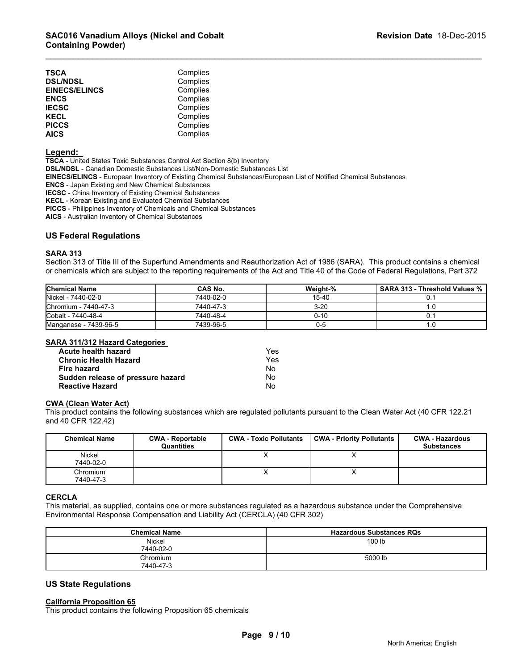| TSCA                 | Complies |  |
|----------------------|----------|--|
| <b>DSL/NDSL</b>      | Complies |  |
| <b>EINECS/ELINCS</b> | Complies |  |
| ENCS                 | Complies |  |
| IECSC                | Complies |  |
| KECL                 | Complies |  |
| <b>PICCS</b>         | Complies |  |
| AICS                 | Complies |  |

#### **Legend:**

**TSCA** - United States Toxic Substances Control Act Section 8(b) Inventory

**DSL/NDSL** - Canadian Domestic Substances List/Non-Domestic Substances List

**EINECS/ELINCS** - European Inventory of Existing Chemical Substances/European List of Notified Chemical Substances

**ENCS** - Japan Existing and New Chemical Substances

**IECSC** - China Inventory of Existing Chemical Substances

**KECL** - Korean Existing and Evaluated Chemical Substances

**PICCS** - Philippines Inventory of Chemicals and Chemical Substances

**AICS** - Australian Inventory of Chemical Substances

#### **US Federal Regulations**

#### **SARA 313**

Section 313 of Title III of the Superfund Amendments and Reauthorization Act of 1986 (SARA). This product contains a chemical or chemicals which are subject to the reporting requirements of the Act and Title 40 of the Code of Federal Regulations, Part 372

\_\_\_\_\_\_\_\_\_\_\_\_\_\_\_\_\_\_\_\_\_\_\_\_\_\_\_\_\_\_\_\_\_\_\_\_\_\_\_\_\_\_\_\_\_\_\_\_\_\_\_\_\_\_\_\_\_\_\_\_\_\_\_\_\_\_\_\_\_\_\_\_\_\_\_\_\_\_\_\_\_\_\_\_\_\_\_\_\_\_\_\_\_

| <b>Chemical Name</b>  | <b>CAS No.</b> | Weight-% | <b>SARA 313 - Threshold Values %</b> |
|-----------------------|----------------|----------|--------------------------------------|
| Nickel - 7440-02-0    | 7440-02-0      | 15-40    |                                      |
| Chromium - 7440-47-3  | 7440-47-3      | $3-20$   |                                      |
| Cobalt - 7440-48-4    | 7440-48-4      | 0-10     |                                      |
| Manganese - 7439-96-5 | 7439-96-5      | ບ-ວ      | ۰.υ                                  |

#### **SARA 311/312 Hazard Categories**

| Acute health hazard               | Yes |
|-----------------------------------|-----|
| <b>Chronic Health Hazard</b>      | Yes |
| Fire hazard                       | No. |
| Sudden release of pressure hazard | No  |
| <b>Reactive Hazard</b>            | No  |

#### **CWA (Clean Water Act)**

| <b>SARA STIGLE HAZARD CALCULTES</b>        |                         |                               |                                  |                        |
|--------------------------------------------|-------------------------|-------------------------------|----------------------------------|------------------------|
| Acute health hazard                        |                         | Yes.                          |                                  |                        |
| <b>Chronic Health Hazard</b>               |                         | Yes.                          |                                  |                        |
| Fire hazard                                |                         | No                            |                                  |                        |
| Sudden release of pressure hazard          |                         | No.                           |                                  |                        |
| <b>Reactive Hazard</b>                     |                         | No.                           |                                  |                        |
| and 40 CFR 122.42)<br><b>Chemical Name</b> | <b>CWA - Reportable</b> | <b>CWA - Toxic Pollutants</b> | <b>CWA - Priority Pollutants</b> | <b>CWA - Hazardous</b> |
|                                            |                         |                               |                                  |                        |
|                                            | <b>Quantities</b>       |                               |                                  | <b>Substances</b>      |
| Nickel<br>7440-02-0                        |                         | X                             | x                                |                        |
| Chromium                                   |                         | X                             | X                                |                        |

#### **CERCLA**

This material, as supplied, contains one or more substances regulated as a hazardous substance under the Comprehensive Environmental Response Compensation and Liability Act (CERCLA) (40 CFR 302)

| <b>Chemical Name</b>  | <b>Hazardous Substances RQs</b> |
|-----------------------|---------------------------------|
| Nickel<br>7440-02-0   | 100 lb                          |
| Chromium<br>7440-47-3 | 5000 lb                         |

#### **US State Regulations**

#### **California Proposition 65**

This product contains the following Proposition 65 chemicals